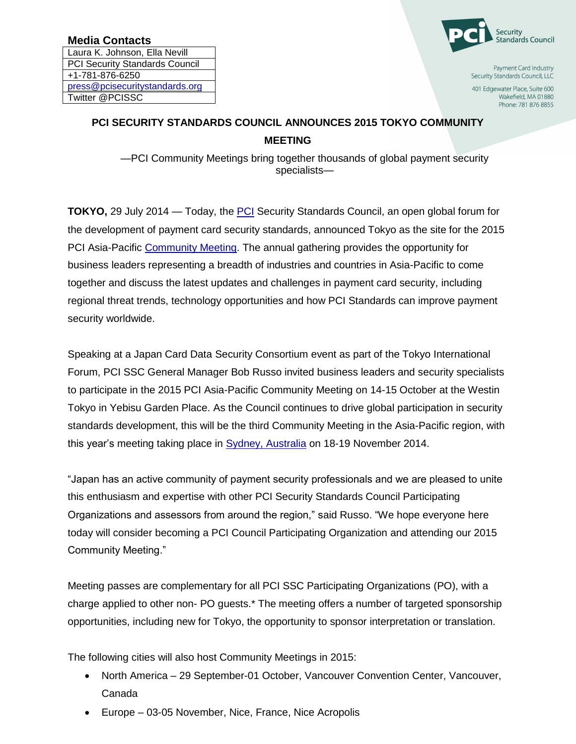Laura K. Johnson, Ella Nevill PCI Security Standards Council +1-781-876-6250 press@pcisecuritystandards.org Twitter @PCISSC



Payment Card Industry Security Standards Council, LLC

401 Edgewater Place, Suite 600 Wakefield, MA 01880 Phone: 781 876 8855

## **PCI SECURITY STANDARDS COUNCIL ANNOUNCES 2015 TOKYO COMMUNITY MEETING**

—PCI Community Meetings bring together thousands of global payment security specialists—

**TOKYO,** 29 July 2014 — Today, the [PCI](https://www.pcisecuritystandards.org/) Security Standards Council, an open global forum for the development of payment card security standards, announced Tokyo as the site for the 2015 PCI Asia-Pacific [Community Meeting.](https://www.pcisecuritystandards.org/get_involved/community.php) The annual gathering provides the opportunity for business leaders representing a breadth of industries and countries in Asia-Pacific to come together and discuss the latest updates and challenges in payment card security, including regional threat trends, technology opportunities and how PCI Standards can improve payment security worldwide.

Speaking at a Japan Card Data Security Consortium event as part of the Tokyo International Forum, PCI SSC General Manager Bob Russo invited business leaders and security specialists to participate in the 2015 PCI Asia-Pacific Community Meeting on 14-15 October at the Westin Tokyo in Yebisu Garden Place. As the Council continues to drive global participation in security standards development, this will be the third Community Meeting in the Asia-Pacific region, with this year's meeting taking place in [Sydney, Australia](http://community.pcisecuritystandards.org/2014/asia-pacific/) on 18-19 November 2014.

"Japan has an active community of payment security professionals and we are pleased to unite this enthusiasm and expertise with other PCI Security Standards Council Participating Organizations and assessors from around the region," said Russo. "We hope everyone here today will consider becoming a PCI Council Participating Organization and attending our 2015 Community Meeting."

Meeting passes are complementary for all PCI SSC Participating Organizations (PO), with a charge applied to other non- PO guests.\* The meeting offers a number of targeted sponsorship opportunities, including new for Tokyo, the opportunity to sponsor interpretation or translation.

The following cities will also host Community Meetings in 2015:

- North America 29 September-01 October, Vancouver Convention Center, Vancouver, Canada
- Europe 03-05 November, Nice, France, Nice Acropolis